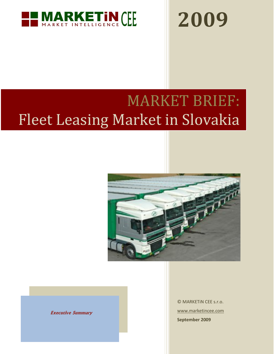

# **2009**

# MARKET BRIEF: Fleet Leasing Market in Slovakia



 **Executive Summary**

© MARKETiN CEE s.r.o. [www.marketincee.com](http://www.marketincee.com/) **September 2009**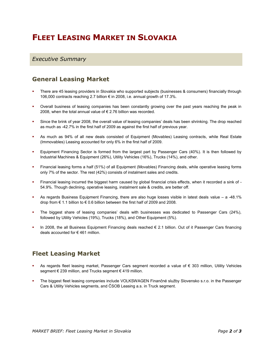## **FLEET LEASING MARKET IN SLOVAKIA**

#### *Executive Summary*

#### **General Leasing Market**

- There are 45 leasing providers in Slovakia who supported subjects (businesses & consumers) financially through 106,000 contracts reaching 2.7 billion € in 2008, i.e. annual growth of 17.3%.
- Overall business of leasing companies has been constantly growing over the past years reaching the peak in 2008, when the total annual value of € 2.76 billion was recorded.
- Since the brink of year 2008, the overall value of leasing companies' deals has been shrinking. The drop reached as much as -42.7% in the first half of 2009 as against the first half of previous year.
- As much as 94% of all new deals consisted of Equipment (Movables) Leasing contracts, while Real Estate (Immovables) Leasing accounted for only 6% in the first half of 2009.
- Equipment Financing Sector is formed from the largest part by Passenger Cars (40%). It is then followed by Industrial Machines & Equipment (26%), Utility Vehicles (16%), Trucks (14%), and other.
- Financial leasing forms a half (51%) of all Equipment (Movables) Financing deals, while operative leasing forms only 7% of the sector. The rest (42%) consists of instalment sales and credits.
- Financial leasing incurred the biggest harm caused by global financial crisis effects, when it recorded a sink of 54.9%. Though declining, operative leasing, instalment sale & credits, are better off.
- As regards Business Equipment Financing, there are also huge losses visible in latest deals value a -48.1% drop from € 1.1 billion to € 0.6 billion between the first half of 2009 and 2008.
- The biggest share of leasing companies' deals with businesses was dedicated to Passenger Cars (24%), followed by Utility Vehicles (19%), Trucks (18%), and Other Equipment (5%).
- In 2008, the all Business Equipment Financing deals reached € 2.1 billion. Out of it Passenger Cars financing deals accounted for € 461 million.

#### **Fleet Leasing Market**

- As regards fleet leasing market, Passenger Cars segment recorded a value of € 303 million, Utility Vehicles segment € 239 million, and Trucks segment € 419 million.
- The biggest fleet leasing companies include VOLKSWAGEN Finančné služby Slovensko s.r.o. in the Passenger Cars & Utility Vehicles segments, and ČSOB Leasing a.s. in Truck segment.